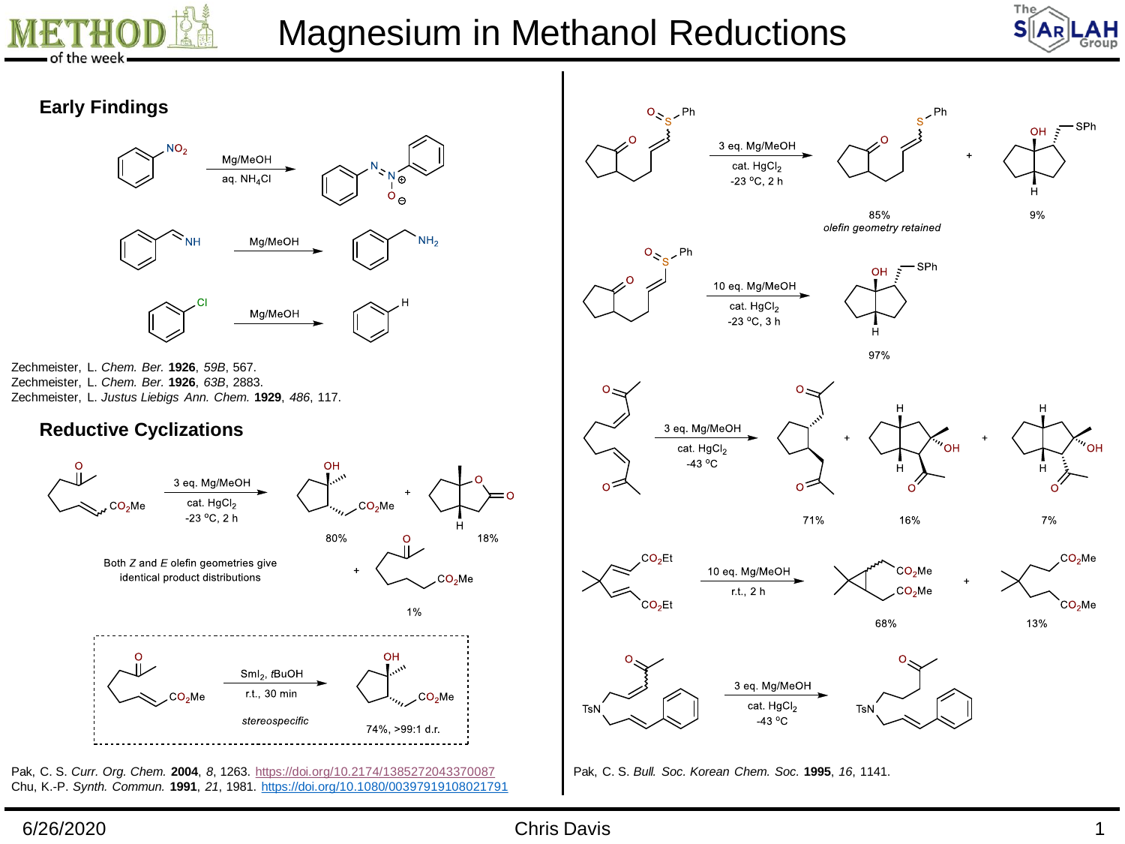

## Magnesium in Methanol Reductions



### **Early Findings**



Zechmeister, L. *Chem. Ber.* **1926**, *59B*, 567. Zechmeister, L. *Chem. Ber.* **1926**, *63B*, 2883. Zechmeister, L. *Justus Liebigs Ann. Chem.* **1929**, *486*, 117.

#### **Reductive Cyclizations**



Chu, K.-P. *Synth. Commun.* **1991**, *21*, 1981. <https://doi.org/10.1080/00397919108021791>



Pak, C. S. *Bull. Soc. Korean Chem. Soc.* **1995**, *16*, 1141.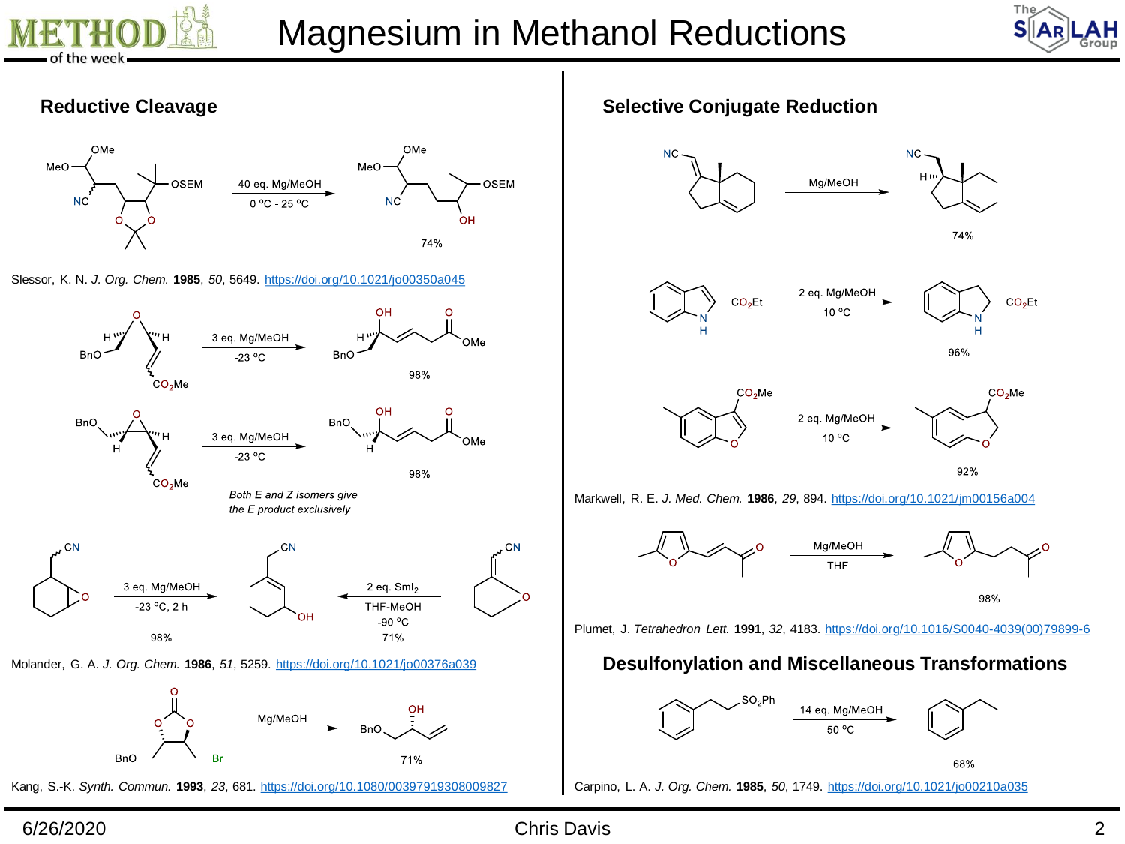



#### **Reductive Cleavage**



Slessor, K. N. *J. Org. Chem.* **1985**, *50*, 5649. <https://doi.org/10.1021/jo00350a045>



Kang, S.-K. *Synth. Commun.* **1993**, *23*, 681. <https://doi.org/10.1080/00397919308009827> Carpino, L. A. *J. Org. Chem.* **1985**, *50*, 1749. <https://doi.org/10.1021/jo00210a035>

**Selective Conjugate Reduction**









92%

Markwell, R. E. *J. Med. Chem.* **1986**, *29*, 894. <https://doi.org/10.1021/jm00156a004>



Plumet, J. *Tetrahedron Lett.* **1991**, *32*, 4183. [https://doi.org/10.1016/S0040-4039\(00\)79899-6](https://doi.org/10.1016/S0040-4039(00)79899-6)

## **Desulfonylation and Miscellaneous Transformations**